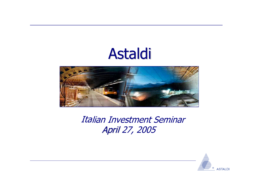# Astaldi



Italian Investment Seminar April 27, 2005

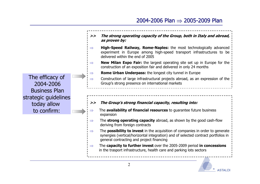**>> The strong operating capacity of the Group, both in Italy and abroad, as proven by:** ⇒ **High-Speed Railway, Rome-Naples:** the most technologically advanced experiment in Europe among high-speed transport infrastructures to be delivered within the end of 2005 ⇒ **New Milan Expo Fair:** the largest operating site set up in Europe for the construction of an exposition fair and delivered in only 24 months ⇒ **Rome Urban Underpass:** the longest city tunnel in Europe ⇒ Construction of large infrastructural projects abroad, as an expression of the Group's strong presence on international markets The efficacy of 2004-2006Business Planstrategic guidelines today allow to confirm:**>> The Group's strong financial capacity, resulting into:** ⇒ The **availability of financial resources** to guarantee future business expansion ⇒ The **strong operating capacity** abroad, as shown by the good cash-flow deriving from foreign contracts ⇒ The **possibility to invest** in the acquisition of companies in order to generate synergies (vertical/horizontal integration) and of selected contract portfolios in general contracting and project financing ⇒ The **capacity to further invest** over the 2005-2009 period **in concessions** in the trasport infrastructure, health care and parking lots sectors

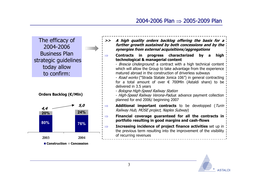The efficacy of 2004-2006 Business Planstrategic guidelines today allow to confirm:

**Orders Backlog (€/Mln)**



- **>> A high quality orders backlog offering the basis for <sup>a</sup> further growth sustained by both concessions and by the synergies from external acquisitions/aggregations**
- ⇒ **Contracts in progress characterized by a high technological & managerial content**

- *Brescia Underground*: a contract with a high technical content which will allow the Group to take advantage from the experience matured abroad in the construction of driverless subways

- *Road works* ("Strada Statale Jonica 106") in general contracting for a total amount of over € 700Mln (Astaldi share) to be delivered in 3.5 years

- Bologna High-Speed Railway Station

- *High-Speed Railway Verona-Padua*: advance payment collection planned for end 2006/ beginning 2007

- **Additional important contracts** to be developped (Turin Railway Hub, MOSE project, Naples Subway)
- **Financial coverage guaranteed for all the contracts in portfolio resulting in good margins and cash-flows**
- **Increasing incidence of project finance activities** set up in the previous term resulting into the improvement of the visibility of recurring revenues

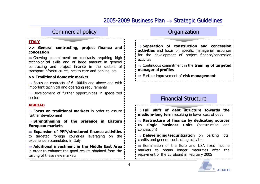## 2005-2009 Business Plan  $\rightarrow$  Strategic Guidelines

#### Commercial policy

#### **ITALY**

**>> General contracting, project finance and concession**

 $\Rightarrow$  Growing commitment on contracts requiring high technological skills and of large amount in general contracting and project finance in the sectors of transport infrastructures, health care and parking lots

#### **>> Traditional domestic market**

 $\Rightarrow$  Focus on contracts of  $\in$  100Mln and above and with important technical and operating requirements

 $\Rightarrow$  Development of further opportunities in specialized sectors

#### **ABROAD**

⇒ **Focus on traditional markets** in order to assure further development

⇒ **Strengthening of the presence in Eastern European markets**

⇒ **Expansion of PPP/structured finance activities**  to targeted foreign countries leveraging on the experience accumulated in Italy

⇒ **Additional investment in the Middle East Area** in order to enhance the good results obtained from the testing of these new markets

#### **Organization**

⇒ **Separation of construction and concession activities** and focus on specific managerial resources for the development of project finance/concession activites

⇒ Continuous commitment in the **training of targeted managerial profiles**

⇒ Further improvement of **risk management**

#### Financial Structure

⇒ **Full shift of debt structure towards the medium-long term** resulting in lower cost of debt

⇒ **Restructure of finance by dedicating sources to single business units** (construction and concession)

⇒ **Deleveraging/securitization** on parking lots, credits and general contracting activites

⇒ Examination of the Euro and USA fixed income markets to obtain longer maturities after the repayment of the Eurobond in February 2005

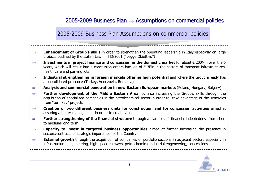#### 2005-2009 Business Plan Assumptions on commercial policies

| $\Rightarrow$ | <b>Enhancement of Group's skills</b> in order to strengthen the operating leadership in Italy especially on large<br>projects outlined by the Italian Law n. 443/2001 ("Legge Obiettivo")                                                                                       |  |
|---------------|---------------------------------------------------------------------------------------------------------------------------------------------------------------------------------------------------------------------------------------------------------------------------------|--|
| $\Rightarrow$ | <b>Investments in project finance and concession in the domestic market</b> for about $\epsilon$ 200Mln over the 5<br>years, which will result into a concession orders backlog of $\epsilon$ 3Bln in the sectors of transport infrastructures,<br>health care and parking lots |  |
| $\Rightarrow$ | Industrial strengthening in foreign markets offering high potential and where the Group already has<br>a consolidated presence (Turkey, Venezuela, Romania)                                                                                                                     |  |
| $\Rightarrow$ | Analysis and commercial penetration in new Eastern European markets (Poland, Hungary, Bulgary)                                                                                                                                                                                  |  |
| $\Rightarrow$ | <b>Further development of the Middle Eastern Area</b> , by also increasing the Group's skills through the<br>acquisition of specialized companies in the petrolchemical sector in order to take advantage of the synergies<br>from "turn key" projects                          |  |
| $\Rightarrow$ | Creation of two different business units for construction and for concession activities aimed at<br>assuring a better management in order to create value                                                                                                                       |  |
| $\Rightarrow$ | <b>Further strengthening of the financial structure</b> through a plan to shift financial indebtedness from short<br>to medium-long term                                                                                                                                        |  |
| $\Rightarrow$ | Capacity to invest in targeted business opportunities aimed at further increasing the presence in<br>sectors/contracts of strategic importance for the Country                                                                                                                  |  |
| $\Rightarrow$ | <b>External growth</b> through the acquisition of companies or portfolio sections in adjacent sectors especially in<br>infrastructural engeneering, high-speed railways, petrolchemical industrial engeneering, concessions                                                     |  |
|               |                                                                                                                                                                                                                                                                                 |  |

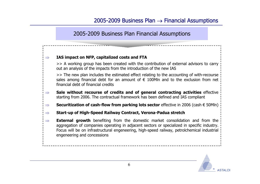2005-2009 Business Plan Financial Assumptions

#### **IAS impact on NFP, capitalized costs and FTA**

⇒

>> A working group has been created with the contribution of external advisors to carry out an analysis of the impacts from the introduction of the new IAS

>> The new plan includes the estimated effect relating to the accounting of with-recourse sales among financial debt for an amount of  $\epsilon$  100Mln and to the exclusion from net financial debt of financial credits

- ⇒ **Sale without recourse of credits and of general contracting activities** effective starting from 2006. The contractual framework has been defined and IAS compliant
- ⇒**Securitization of cash-flow from parking lots sector** effective in 2006 (cash € 50Mln)
- ⇒**Start-up of High-Speed Railway Contract, Verona-Padua stretch**
- ⇒**External growth** benefiting from the domestic market consolidation and from the aggregation of companies operating in adjacent sectors or specialized in specific industry. Focus will be on infrastructural engeneering, high-speed railway, petrolchemical industrial engeneering and concessions

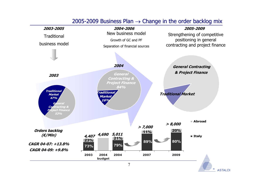#### 2005-2009 Business Plan  $\rightarrow$  Change in the order backlog mix

**ASTALDI** 

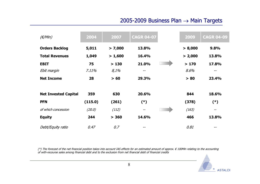## 2005-2009 Business Plan  $\rightarrow$  Main Targets

| $(\epsilon/Mln)$            | 2004    | 2007    | <b>CAGR 04-07</b> | 2009    | <b>CAGR 04-09</b> |
|-----------------------------|---------|---------|-------------------|---------|-------------------|
| <b>Orders Backlog</b>       | 5,011   | > 7,000 | 13.8%             | > 8,000 | 9.8%              |
| <b>Total Revenues</b>       | 1,049   | > 1,600 | 16.4%             | > 2,000 | 13.8%             |
| <b>EBIT</b>                 | 75      | >130    | 21.0%             | >170    | 17.8%             |
| Ebit margin                 | 7.11%   | 8,1%    | $\qquad \qquad -$ | 8.6%    | $- -$             |
| <b>Net Income</b>           | 28      | > 60    | 29.3%             | > 80    | 23.4%             |
| <b>Net Invested Capital</b> | 359     | 630     | 20.6%             | 844     | 18.6%             |
| <b>PFN</b>                  | (115.0) | (261)   | $(*)$             | (378)   | $(*)$             |
| of which concession         | (20.0)  | (112)   | $- -$             | (163)   | $- -$             |
| <b>Equity</b>               | 244     | > 360   | 14.6%             | 466     | 13.8%             |
| Debt/Equity ratio           | 0.47    | 0.7     |                   | 0.81    |                   |

(\*) The forecast of the net financial position takes into account IAS effects for an estimated amount of approx. € 100Mln relating to the accounting of with-recourse sales among financial debt and to the exclusion from net financial debt of financial credits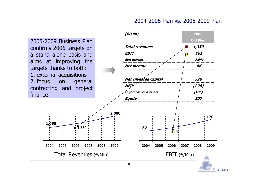### 2004-2006 Plan vs. 2005-2009 Plan

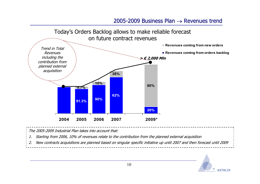#### 2005-2009 Business Plan  $\rightarrow$  Revenues trend



The 2005-2009 Industrial Plan takes into account that:

1.Starting from 2006, 10% of revenues relate to the contribution from the planned external acquisition

2.New contracts acquisitions are planned based on singular specific initiative up until 2007 and then forecast until 2009

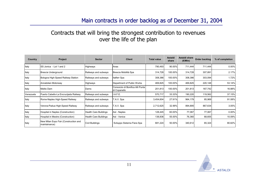### Contracts that will bring the strongest contribution to revenues over the life of the plan

| Country   | Project                                                | <b>Sector</b>                | <b>Client</b>                                    | <b>Total value</b> | Astaldi<br>share | Astaldi share<br>(E/MIn) | Order backlog | % of completion |
|-----------|--------------------------------------------------------|------------------------------|--------------------------------------------------|--------------------|------------------|--------------------------|---------------|-----------------|
| Italy     | ISS Jonica - Lot 1 and 2                               | Highways                     | Anas                                             | 790,493            | 90.00%           | 711,444                  | 711,444       | 0.00%           |
| Italy     | Brescia Underground                                    | Railways and subways         | Brescia Mobilità Spa                             | 314,728            | 100.00%          | 314,728                  | 307,891       | 2.17%           |
| Italy     | Bologna High-Speed Railway Station                     | Railways and subways         | <b>Italferr Spa</b>                              | 308,386            | 100.00%          | 308,386                  | 303,094       | 1.72%           |
| Italy     | Annatolian Motorway                                    | Highways                     | Department of Public Works                       | 469,825            | 100.00%          | 469,825                  | 220,148       | 53.14%          |
| Italy     | Melito Dam                                             | Dams                         | Consorzio di Bonifica Alli Punta<br>di Copanello | 201,813            | 100.00%          | 201,813                  | 167,742       | 16.88%          |
| Venezuela | Puerto Cabello-La Encrucijada Railway                  | Railways and subways         | I.A.F.E.                                         | 570,717            | 33.33%           | 190,220                  | 119,562       | 37.15%          |
| Italy     | Rome-Naples High-Speed Railway                         | Railways and subways         | T.A.V. Spa                                       | 3,454,604          | 27.91%           | 964,179                  | 85,969        | 91.08%          |
| Italy     | Verona-Padua High-Speed Railway                        | Railways and subways         | Г.A.V. Spa                                       | 2,712,625          | 32.99%           | 894,895                  | 867,634       | 3.05%           |
| Italy     | Hospital in Naples (Construction)                      | <b>Health Care Buildings</b> | Asl - Naples                                     | 128,445            | 60.00%           | 77,067                   | 77,067        | 0.00%           |
| Italy     | Hospital in Mestre (Construction)                      | <b>Health Care Buildings</b> | Asl - Venice                                     | 138,836            | 55.00%           | 76,360                   | 68,655        | 10.09%          |
| Italy     | New Milan Expo Fair (Construction and<br>maintainance) | Civil Buildings              | Sviluppo Sistema Fiera Spa                       | 681,224            | 50.00%           | 340,612                  | 65,324        | 80.82%          |

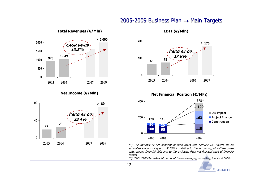#### 2005-2009 Business Plan  $\rightarrow$  Main Targets

**Total Revenues**



**Net Income (€/Mln)**







(\*) The forecast of net financial position takes into account IAS effects for an estimated amount of approx.  $\epsilon$  100Mln relating to the accounting of with-recourse sales among financial debt and to the exclusion from net financial debt of financial credits

(\*) 2005-2009 Plan takes into account the deleveraging on parking lots for  $\epsilon$  50Mln

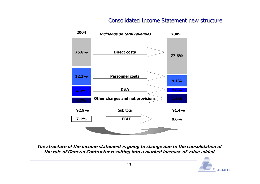### Consolidated Income Statement new structure



**The structure of the income statement is going to change due to the consolidation of the role of General Contractor resulting into a marked increase of value added**

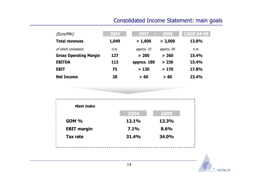## Consolidated Income Statement: main goals

| (Euro/Mln)                    | 2004  | 2007        | 2009       | <b>CAGR 04-09</b> |
|-------------------------------|-------|-------------|------------|-------------------|
| <b>Total revenues</b>         | 1,049 | > 1,600     | > 2,000    | 13.8%             |
| of which concession           | n.m.  | approx. 10  | approx. 90 | n.m.              |
| <b>Gross Operating Margin</b> | 127   | > 200       | > 260      | 15.4%             |
| <b>EBITDA</b>                 | 113   | approx. 180 | > 230      | 15.4%             |
| <b>EBIT</b>                   | 75    | >130        | >170       | 17.8%             |
| <b>Net Income</b>             | 28    | > 60        | > 80       | 23.4%             |

| Main index         |       |       |
|--------------------|-------|-------|
|                    | 2004  | 2009  |
| <b>GOM %</b>       | 12.1% | 13.3% |
| <b>EBIT margin</b> | 7.1%  | 8.6%  |
| <b>Tax rate</b>    | 31.4% | 34.0% |

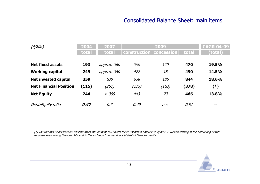| $(\epsilon/Mln)$              | 2004<br>total | 2007<br>total | construction   concession | 2009  | total | <b>CAGR 04-09</b><br>(total) |
|-------------------------------|---------------|---------------|---------------------------|-------|-------|------------------------------|
| <b>Net fixed assets</b>       | 193           | approx. 360   | 300                       | 170   | 470   | 19.5%                        |
| <b>Working capital</b>        | 249           | approx. 350   | 472                       | 18    | 490   | <b>14.5%</b>                 |
| <b>Net invested capital</b>   | 359           | 630           | 658                       | 186   | 844   | 18.6%                        |
| <b>Net Financial Position</b> | (115)         | (261)         | (215)                     | (163) | (378) | (*)                          |
| <b>Net Equity</b>             | 244           | > 360         | 443                       | 23    | 466   | 13.8%                        |
| Debt/Equity ratio             | 0.47          | 0.7           | 0.49                      | n.S.  | 0.81  | $- -$                        |

(\*) The forecast of net financial position takes into account IAS effects for an estimated amount of approx. € 100Mln relating to the accounting of withrecourse sales among financial debt and to the exclusion from net financial debt of financial credits

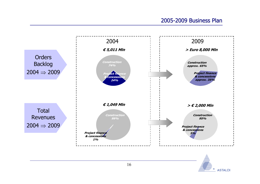#### 2005-2009 Business Plan



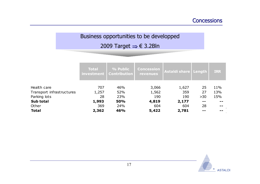## Business opportunities to be developped 2009 Target <sup>⇒</sup> € 3.2Bln

|                                          | <b>Total</b><br>investment | % Public<br><b>Contribution</b> | <b>Concession</b><br><b>revenues</b> | Astaldi share Length |          | <b>IRR</b> |
|------------------------------------------|----------------------------|---------------------------------|--------------------------------------|----------------------|----------|------------|
| Health care<br>Transport infrastructures | 707<br>1,257               | 46%<br>52%                      | 3,066<br>1,562                       | 1,627<br>359         | 25<br>27 | 11%<br>13% |
| Parking lots                             | 28                         | 23%                             | 190                                  | 190                  | $>30$    | 15%        |
| Sub total                                | 1,993                      | <b>50%</b>                      | 4,819                                | 2,177                | --       |            |
| Other                                    | 369                        | 24%                             | 604                                  | 604                  | 28       |            |
| <b>Total</b>                             | 2,362                      | 46%                             | 5,422                                | 2,781                |          |            |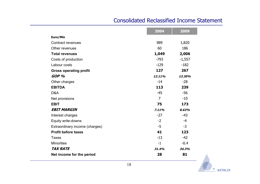#### Consolidated Reclassified Income Statement

|                                | 2004           | 2009     |
|--------------------------------|----------------|----------|
| Euro/Mln                       |                |          |
| <b>Contract revenues</b>       | 989            | 1,820    |
| Other revenues                 | 60             | 186      |
| <b>Total revenues</b>          | 1,049          | 2,006    |
| Costs of production            | $-793$         | $-1,557$ |
| Labour costs                   | $-129$         | $-182$   |
| <b>Gross operating profit</b>  | 127            | 267      |
| GOP <sup>%</sup>               | 12.11%         | 13.30%   |
| Other charges                  | $-14$          | $-28$    |
| <b>EBITDA</b>                  | 113            | 239      |
| D&A                            | $-45$          | $-56$    |
| Net provisions                 | $\overline{7}$ | $-10$    |
| <b>EBIT</b>                    | 75             | 173      |
| <b>EBIT MARGIN</b>             | 7.11%          | 8.63%    |
| Interest charges               | $-27$          | $-43$    |
| Equity write-downs             | $-2$           | $-4$     |
| Extraordinary income (charges) | $-5$           | $-3$     |
| <b>Profit before taxes</b>     | 41             | 123      |
| <b>Taxes</b>                   | $-13$          | $-42$    |
| <b>Minorities</b>              | $-1$           | $-0.4$   |
| <b>TAX RATE</b>                | 31.4%          | 34.3%    |
| Net income for the period      | 28             | 81       |

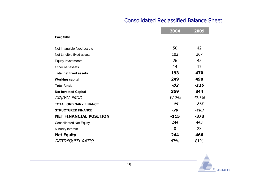#### Consolidated Reclassified Balance Sheet

|                                | 2004           | 2009   |
|--------------------------------|----------------|--------|
| Euro/Mln                       |                |        |
| Net intangible fixed assets    | 50             | 42     |
| Net tangible fixed assets      | 102            | 367    |
| Equity investments             | 26             | 45     |
| Other net assets               | 14             | 17     |
| <b>Total net fixed assets</b>  | 193            | 470    |
| <b>Working capital</b>         | 249            | 490    |
| <b>Total funds</b>             | $-82$          | -116   |
| <b>Net Invested Capital</b>    | 359            | 844    |
| CIN/VAL PROD                   | 34.2%          | 42.1%  |
| <b>TOTAL ORDINARY FINANCE</b>  | -95            | $-215$ |
| <b>STRUCTURED FINANCE</b>      | $-20$          | $-163$ |
| <b>NET FINANCIAL POSITION</b>  | $-115$         | $-378$ |
| <b>Consolidated Net Equity</b> | 244            | 443    |
| Minority interest              | $\overline{0}$ | 23     |
| <b>Net Equity</b>              | 244            | 466    |
| DEBT/EQUITY RATIO              | 47%            | 81%    |